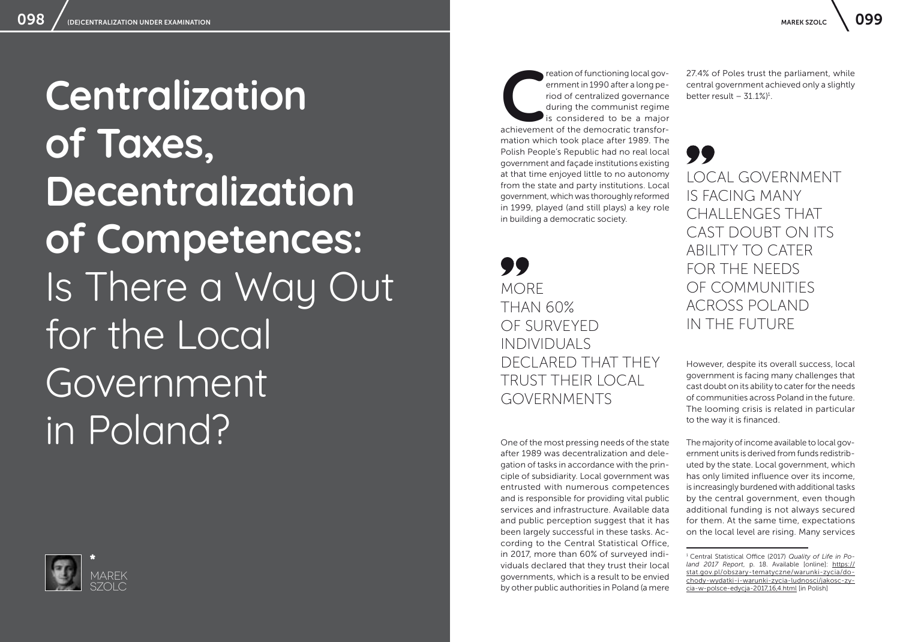# **Centralization of Taxes, Decentralization of Competences:** Is There a Way Out for the Local Government in Poland?



**CREATION**<br> **C**reation of functioning local government<br>
in 1990 after a long period of centralized governance<br>
during the communist regime<br>
is considered to be a major<br>
achievement of the democratic transforernment in 1990 after a long period of centralized governance during the communist regime is considered to be a major mation which took place after 1989. The Polish People's Republic had no real local government and façade institutions existing at that time enjoyed little to no autonomy from the state and party institutions. Local government, which was thoroughly reformed in 1999, played (and still plays) a key role in building a democratic society.

### 99 MORE THAN 60% OF SURVEYED INDIVIDUALS DECLARED THAT THEY TRUST THEIR LOCAL GOVERNMENTS

One of the most pressing needs of the state after 1989 was decentralization and delegation of tasks in accordance with the principle of subsidiarity. Local government was entrusted with numerous competences and is responsible for providing vital public services and infrastructure. Available data and public perception suggest that it has been largely successful in these tasks. According to the Central Statistical Office, in 2017, more than 60% of surveyed individuals declared that they trust their local governments, which is a result to be envied by other public authorities in Poland (a mere

27.4% of Poles trust the parliament, while central government achieved only a slightly better result  $-31.1\%)^1$ .

99 LOCAL GOVERNMENT IS FACING MANY CHALLENGES THAT CAST DOUBT ON ITS ABILITY TO CATER FOR THE NEEDS OF COMMUNITIES ACROSS POLAND IN THE FUTURE

However, despite its overall success, local government is facing many challenges that cast doubt on its ability to cater for the needs of communities across Poland in the future. The looming crisis is related in particular to the way it is financed.

The majority of income available to local government units is derived from funds redistributed by the state. Local government, which has only limited influence over its income, is increasingly burdened with additional tasks by the central government, even though additional funding is not always secured for them. At the same time, expectations on the local level are rising. Many services

<sup>1</sup> Central Statistical Office (2017) *Quality of Life in Poland 2017 Report*, p. 18. Available [online]: [https://](https://stat.gov.pl/obszary-tematyczne/warunki-zycia/dochody-wydatki-i-warunki-zycia-ludnosci/jakosc-zycia-w-polsce-edycja-2017,16,4.html) [stat.gov.pl/obszary-tematyczne/warunki-zycia/do](https://stat.gov.pl/obszary-tematyczne/warunki-zycia/dochody-wydatki-i-warunki-zycia-ludnosci/jakosc-zycia-w-polsce-edycja-2017,16,4.html)[chody-wydatki-i-warunki-zycia-ludnosci/jakosc-zy](https://stat.gov.pl/obszary-tematyczne/warunki-zycia/dochody-wydatki-i-warunki-zycia-ludnosci/jakosc-zycia-w-polsce-edycja-2017,16,4.html)[cia-w-polsce-edycja-2017,16,4.html](https://stat.gov.pl/obszary-tematyczne/warunki-zycia/dochody-wydatki-i-warunki-zycia-ludnosci/jakosc-zycia-w-polsce-edycja-2017,16,4.html) [in Polish]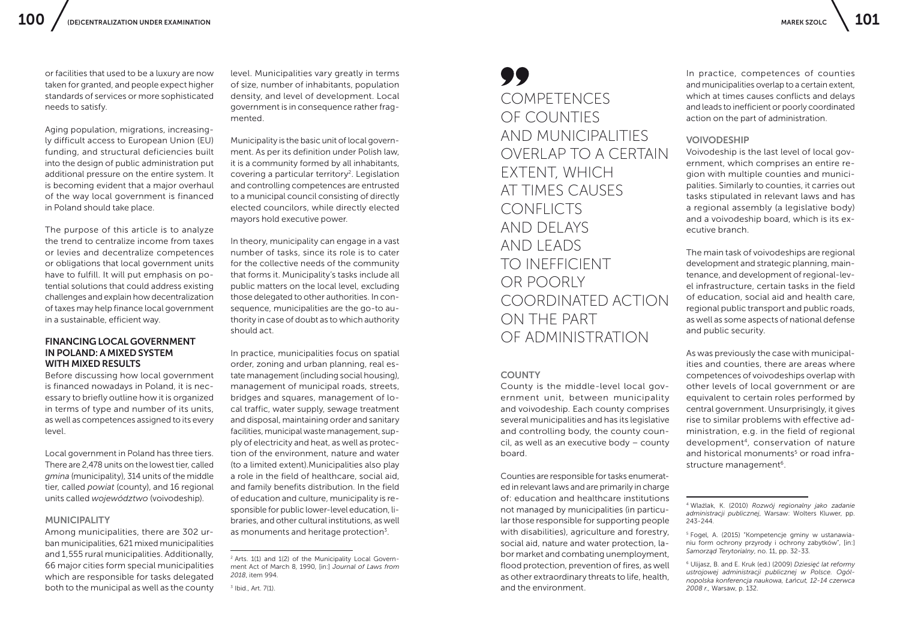or facilities that used to be a luxury are now taken for granted, and people expect higher standards of services or more sophisticated needs to satisfy.

Aging population, migrations, increasingly difficult access to European Union (EU) funding, and structural deficiencies built into the design of public administration put additional pressure on the entire system. It is becoming evident that a major overhaul of the way local government is financed in Poland should take place.

The purpose of this article is to analyze the trend to centralize income from taxes or levies and decentralize competences or obligations that local government units have to fulfill. It will put emphasis on potential solutions that could address existing challenges and explain how decentralization of taxes may help finance local government in a sustainable, efficient way.

#### FINANCING LOCAL GOVERNMENT IN POLAND: A MIXED SYSTEM WITH MIXED RESULTS

Before discussing how local government is financed nowadays in Poland, it is necessary to briefly outline how it is organized in terms of type and number of its units, as well as competences assigned to its every level.

Local government in Poland has three tiers. There are 2,478 units on the lowest tier, called *gmina* (municipality), 314 units of the middle tier, called *powiat* (county), and 16 regional units called *województwo* (voivodeship).

### **MUNICIPALITY**

Among municipalities, there are 302 urban municipalities, 621 mixed municipalities and 1,555 rural municipalities. Additionally, 66 major cities form special municipalities which are responsible for tasks delegated both to the municipal as well as the county level. Municipalities vary greatly in terms of size, number of inhabitants, population density, and level of development. Local government is in consequence rather fragmented.

Municipality is the basic unit of local government. As per its definition under Polish law, it is a community formed by all inhabitants, covering a particular territory<sup>2</sup>. Legislation and controlling competences are entrusted to a municipal council consisting of directly elected councilors, while directly elected mayors hold executive power.

In theory, municipality can engage in a vast number of tasks, since its role is to cater for the collective needs of the community that forms it. Municipality's tasks include all public matters on the local level, excluding those delegated to other authorities. In consequence, municipalities are the go-to authority in case of doubt as to which authority should act.

In practice, municipalities focus on spatial order, zoning and urban planning, real estate management (including social housing), management of municipal roads, streets, bridges and squares, management of local traffic, water supply, sewage treatment and disposal, maintaining order and sanitary facilities, municipal waste management, supply of electricity and heat, as well as protection of the environment, nature and water (to a limited extent).Municipalities also play a role in the field of healthcare, social aid, and family benefits distribution. In the field of education and culture, municipality is responsible for public lower-level education, libraries, and other cultural institutions, as well as monuments and heritage protection<sup>3</sup>.

COMPETENCES OF COUNTIES AND MUNICIPALITIES OVERLAP TO A CERTAIN EXTENT, WHICH AT TIMES CAUSES CONFLICTS AND DELAYS AND LEADS TO INEFFICIENT OR POORLY COORDINATED ACTION ON THE PART OF ADMINISTRATION

#### **COUNTY**

County is the middle-level local government unit, between municipality and voivodeship. Each county comprises several municipalities and has its legislative and controlling body, the county council, as well as an executive body – county board.

Counties are responsible for tasks enumerated in relevant laws and are primarily in charge of: education and healthcare institutions not managed by municipalities (in particular those responsible for supporting people with disabilities), agriculture and forestry, social aid, nature and water protection, labor market and combating unemployment, flood protection, prevention of fires, as well as other extraordinary threats to life, health, and the environment.

In practice, competences of counties and municipalities overlap to a certain extent, which at times causes conflicts and delays and leads to inefficient or poorly coordinated action on the part of administration.

#### VOIVODESHIP

Voivodeship is the last level of local government, which comprises an entire region with multiple counties and municipalities. Similarly to counties, it carries out tasks stipulated in relevant laws and has a regional assembly (a legislative body) and a voivodeship board, which is its executive branch.

The main task of voivodeships are regional development and strategic planning, maintenance, and development of regional-level infrastructure, certain tasks in the field of education, social aid and health care, regional public transport and public roads, as well as some aspects of national defense and public security.

As was previously the case with municipalities and counties, there are areas where competences of voivodeships overlap with other levels of local government or are equivalent to certain roles performed by central government. Unsurprisingly, it gives rise to similar problems with effective administration, e.g. in the field of regional development4, conservation of nature and historical monuments<sup>5</sup> or road infrastructure management<sup>6</sup>.

<sup>6</sup> Ulijasz, B. and E. Kruk (ed.) (2009) *Dziesięć lat reformy ustrojowej administracji publicznej w Polsce. Ogólnopolska konferencja naukowa, Łańcut, 12-14 czerwca 2008 r.,* Warsaw, p. 132.

<sup>2</sup> Arts. 1(1) and 1(2) of the Municipality Local Government Act of March 8, 1990, [in:] *Journal of Laws from 2018*, item 994.

<sup>4</sup> Wlaźlak, K. (2010) *Rozwój regionalny jako zadanie administracji publicznej*, Warsaw: Wolters Kluwer, pp. 243-244.

<sup>5</sup> Fogel, A. (2015) "Kompetencje gminy w ustanawianiu form ochrony przyrody i ochrony zabytków", [in:] *Samorząd Terytorialny*, no. 11, pp. 32-33.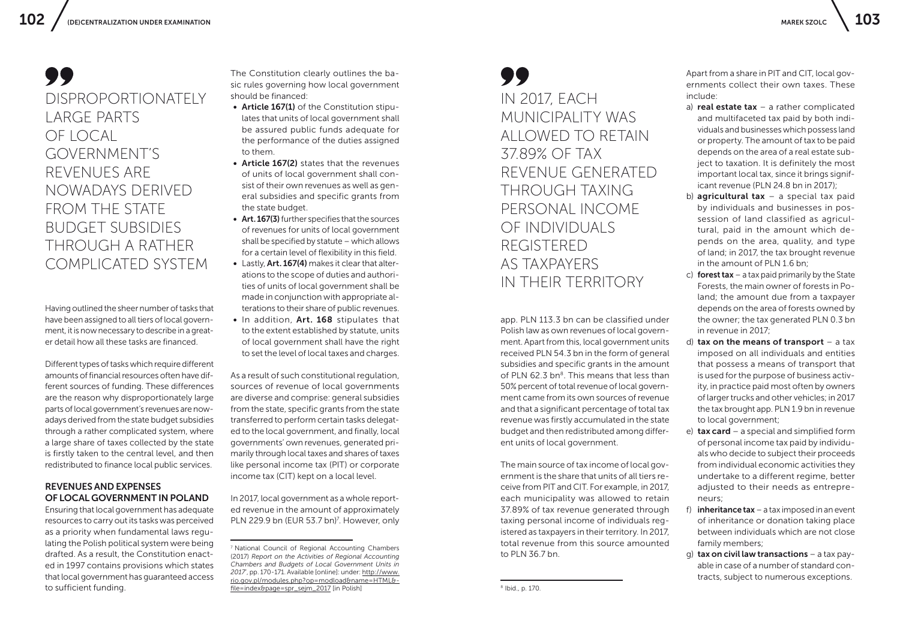### DISPROPORTIONATELY LARGE PARTS OF LOCAL GOVERNMENT'S REVENUES ARE NOWADAYS DERIVED FROM THE STATE BUDGET SUBSIDIES THROUGH A RATHER COMPLICATED SYSTEM

Having outlined the sheer number of tasks that have been assigned to all tiers of local government, it is now necessary to describe in a greater detail how all these tasks are financed.

Different types of tasks which require different amounts of financial resources often have different sources of funding. These differences are the reason why disproportionately large parts of local government's revenues are nowadays derived from the state budget subsidies through a rather complicated system, where a large share of taxes collected by the state is firstly taken to the central level, and then redistributed to finance local public services.

### REVENUES AND EXPENSES OF LOCAL GOVERNMENT IN POLAND

Ensuring that local government has adequate resources to carry out its tasks was perceived as a priority when fundamental laws regulating the Polish political system were being drafted. As a result, the Constitution enacted in 1997 contains provisions which states that local government has guaranteed access to sufficient funding.

The Constitution clearly outlines the basic rules governing how local government should be financed:

- Article 167(1) of the Constitution stipulates that units of local government shall be assured public funds adequate for the performance of the duties assigned to them.
- Article 167(2) states that the revenues of units of local government shall consist of their own revenues as well as general subsidies and specific grants from the state budget.
- Art. 167(3) further specifies that the sources of revenues for units of local government shall be specified by statute – which allows for a certain level of flexibility in this field.
- Lastly, Art. 167(4) makes it clear that alterations to the scope of duties and authorities of units of local government shall be made in conjunction with appropriate alterations to their share of public revenues.
- In addition, Art. 168 stipulates that to the extent established by statute, units of local government shall have the right to set the level of local taxes and charges.

As a result of such constitutional regulation, sources of revenue of local governments are diverse and comprise: general subsidies from the state, specific grants from the state transferred to perform certain tasks delegated to the local government, and finally, local governments' own revenues, generated primarily through local taxes and shares of taxes like personal income tax (PIT) or corporate income tax (CIT) kept on a local level.

In 2017, local government as a whole reported revenue in the amount of approximately PLN 229.9 bn (EUR 53.7 bn)<sup>7</sup>. However, only

IN 2017, EACH MUNICIPALITY WAS ALLOWED TO RETAIN 37.89% OF TAX REVENUE GENERATED THROUGH TAXING PERSONAL INCOME OF INDIVIDUALS REGISTERED AS TAXPAYERS IN THEIR TERRITORY

app. PLN 113.3 bn can be classified under Polish law as own revenues of local government. Apart from this, local government units received PLN 54.3 bn in the form of general subsidies and specific grants in the amount of PLN 62.3 bn<sup>8</sup>. This means that less than 50% percent of total revenue of local government came from its own sources of revenue and that a significant percentage of total tax revenue was firstly accumulated in the state budget and then redistributed among different units of local government.

The main source of tax income of local government is the share that units of all tiers receive from PIT and CIT. For example, in 2017, each municipality was allowed to retain 37.89% of tax revenue generated through taxing personal income of individuals registered as taxpayers in their territory. In 2017, total revenue from this source amounted to PLN 36.7 bn.

Apart from a share in PIT and CIT, local governments collect their own taxes. These include:

- a) real estate tax  $-$  a rather complicated and multifaceted tax paid by both individuals and businesses which possess land or property. The amount of tax to be paid depends on the area of a real estate subject to taxation. It is definitely the most important local tax, since it brings significant revenue (PLN 24.8 bn in 2017);
- b) **agricultural tax**  $-$  a special tax paid by individuals and businesses in possession of land classified as agricultural, paid in the amount which depends on the area, quality, and type of land; in 2017, the tax brought revenue in the amount of PLN 1.6 bn;
- c) forest tax  $-$  a tax paid primarily by the State Forests, the main owner of forests in Poland; the amount due from a taxpayer depends on the area of forests owned by the owner; the tax generated PLN 0.3 bn in revenue in 2017;
- d) tax on the means of transport  $-$  a tax imposed on all individuals and entities that possess a means of transport that is used for the purpose of business activity, in practice paid most often by owners of larger trucks and other vehicles; in 2017 the tax brought app. PLN 1.9 bn in revenue to local government;
- e)  $\textsf{tax card}$  a special and simplified form of personal income tax paid by individuals who decide to subject their proceeds from individual economic activities they undertake to a different regime, better adjusted to their needs as entrepreneurs;
- f) inheritance tax a tax imposed in an event of inheritance or donation taking place between individuals which are not close family members;
- g) tax on civil law transactions  $-$  a tax payable in case of a number of standard contracts, subject to numerous exceptions.

<sup>7</sup> National Council of Regional Accounting Chambers (2017) *Report on the Activities of Regional Accounting Chambers and Budgets of Local Government Units in 2017*', pp. 170-171. Available [online]: under: [http://www.](http://www.rio.gov.pl/modules.php?op=modload&name=HTML&file=index&page=spr_sejm_2017) [rio.gov.pl/modules.php?op=modload&name=HTML&](http://www.rio.gov.pl/modules.php?op=modload&name=HTML&file=index&page=spr_sejm_2017) [file=index&page=spr\\_sejm\\_2017](http://www.rio.gov.pl/modules.php?op=modload&name=HTML&file=index&page=spr_sejm_2017) [in Polish]

<sup>8</sup> Ibid., p. 170.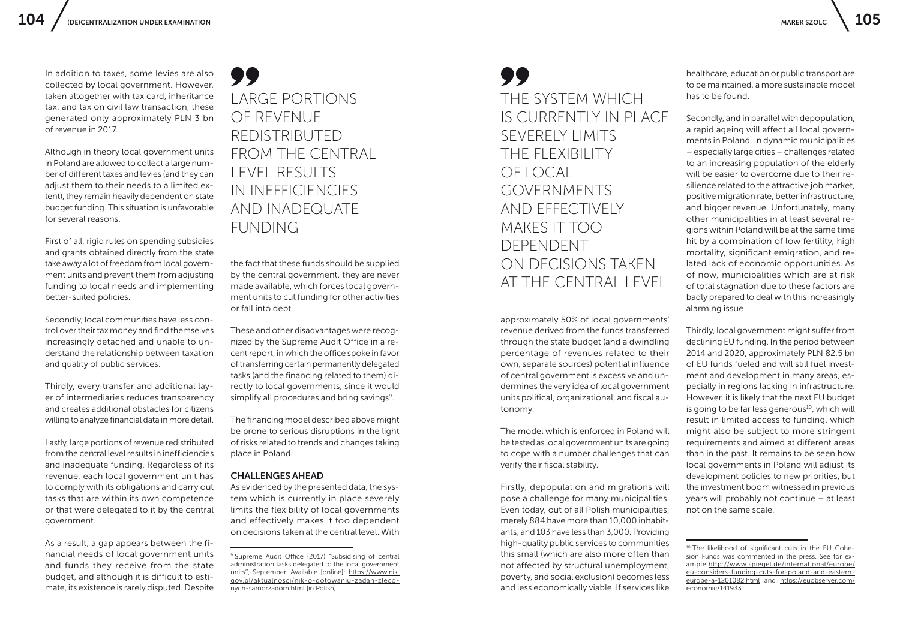In addition to taxes, some levies are also collected by local government. However, taken altogether with tax card, inheritance tax, and tax on civil law transaction, these generated only approximately PLN 3 bn of revenue in 2017.

Although in theory local government units in Poland are allowed to collect a large number of different taxes and levies (and they can adjust them to their needs to a limited extent), they remain heavily dependent on state budget funding. This situation is unfavorable for several reasons.

First of all, rigid rules on spending subsidies and grants obtained directly from the state take away a lot of freedom from local government units and prevent them from adjusting funding to local needs and implementing better-suited policies.

Secondly, local communities have less control over their tax money and find themselves increasingly detached and unable to understand the relationship between taxation and quality of public services.

Thirdly, every transfer and additional layer of intermediaries reduces transparency and creates additional obstacles for citizens willing to analyze financial data in more detail.

Lastly, large portions of revenue redistributed from the central level results in inefficiencies and inadequate funding. Regardless of its revenue, each local government unit has to comply with its obligations and carry out tasks that are within its own competence or that were delegated to it by the central government.

As a result, a gap appears between the financial needs of local government units and funds they receive from the state budget, and although it is difficult to estimate, its existence is rarely disputed. Despite

99 LARGE PORTIONS OF REVENUE REDISTRIBUTED FROM THE CENTRAL LEVEL RESULTS IN INEFFICIENCIES AND INADEQUATE FUNDING

the fact that these funds should be supplied by the central government, they are never made available, which forces local government units to cut funding for other activities or fall into debt.

These and other disadvantages were recognized by the Supreme Audit Office in a recent report, in which the office spoke in favor of transferring certain permanently delegated tasks (and the financing related to them) directly to local governments, since it would simplify all procedures and bring savings<sup>9</sup>.

The financing model described above might be prone to serious disruptions in the light of risks related to trends and changes taking place in Poland.

### CHALLENGES AHEAD

As evidenced by the presented data, the system which is currently in place severely limits the flexibility of local governments and effectively makes it too dependent on decisions taken at the central level. With

### THE SYSTEM WHICH IS CURRENTLY IN PLACE SEVERELY LIMITS THE FLEXIBILITY OF LOCAL GOVERNMENTS AND EFFECTIVELY MAKES IT TOO DEPENDENT ON DECISIONS TAKEN AT THE CENTRAL LEVEL

approximately 50% of local governments' revenue derived from the funds transferred through the state budget (and a dwindling percentage of revenues related to their own, separate sources) potential influence of central government is excessive and undermines the very idea of local government units political, organizational, and fiscal autonomy.

The model which is enforced in Poland will be tested as local government units are going to cope with a number challenges that can verify their fiscal stability.

Firstly, depopulation and migrations will pose a challenge for many municipalities. Even today, out of all Polish municipalities, merely 884 have more than 10,000 inhabitants, and 103 have less than 3,000. Providing high-quality public services to communities this small (which are also more often than not affected by structural unemployment, poverty, and social exclusion) becomes less and less economically viable. If services like

healthcare, education or public transport are to be maintained, a more sustainable model has to be found.

Secondly, and in parallel with depopulation, a rapid ageing will affect all local governments in Poland. In dynamic municipalities – especially large cities – challenges related to an increasing population of the elderly will be easier to overcome due to their resilience related to the attractive job market, positive migration rate, better infrastructure, and bigger revenue. Unfortunately, many other municipalities in at least several regions within Poland will be at the same time hit by a combination of low fertility, high mortality, significant emigration, and related lack of economic opportunities. As of now, municipalities which are at risk of total stagnation due to these factors are badly prepared to deal with this increasingly alarming issue.

Thirdly, local government might suffer from declining EU funding. In the period between 2014 and 2020, approximately PLN 82.5 bn of EU funds fueled and will still fuel investment and development in many areas, especially in regions lacking in infrastructure. However, it is likely that the next EU budget is going to be far less generous<sup>10</sup>, which will result in limited access to funding, which might also be subject to more stringent requirements and aimed at different areas than in the past. It remains to be seen how local governments in Poland will adjust its development policies to new priorities, but the investment boom witnessed in previous years will probably not continue – at least not on the same scale.

<sup>9</sup> Supreme Audit Office (2017) "Subsidising of central administration tasks delegated to the local government units'', September. Available [online]: [https://www.nik.](https://www.nik.gov.pl/aktualnosci/nik-o-dotowaniu-zadan-zleconych-samorzadom.html) [gov.pl/aktualnosci/nik-o-dotowaniu-zadan-zleco](https://www.nik.gov.pl/aktualnosci/nik-o-dotowaniu-zadan-zleconych-samorzadom.html)[nych-samorzadom.html](https://www.nik.gov.pl/aktualnosci/nik-o-dotowaniu-zadan-zleconych-samorzadom.html) [in Polish]

<sup>10</sup> The likelihood of significant cuts in the EU Cohesion Funds was commented in the press. See for example [http://www.spiegel.de/international/europe/](http://www.spiegel.de/international/europe/eu-considers-funding-cuts-for-poland-and-eastern-europe-a-1201082.html) [eu-considers-funding-cuts-for-poland-and-eastern](http://www.spiegel.de/international/europe/eu-considers-funding-cuts-for-poland-and-eastern-europe-a-1201082.html)[europe-a-1201082.html](http://www.spiegel.de/international/europe/eu-considers-funding-cuts-for-poland-and-eastern-europe-a-1201082.html) and [https://euobserver.com/](https://euobserver.com/economic/141933) [economic/141933](https://euobserver.com/economic/141933)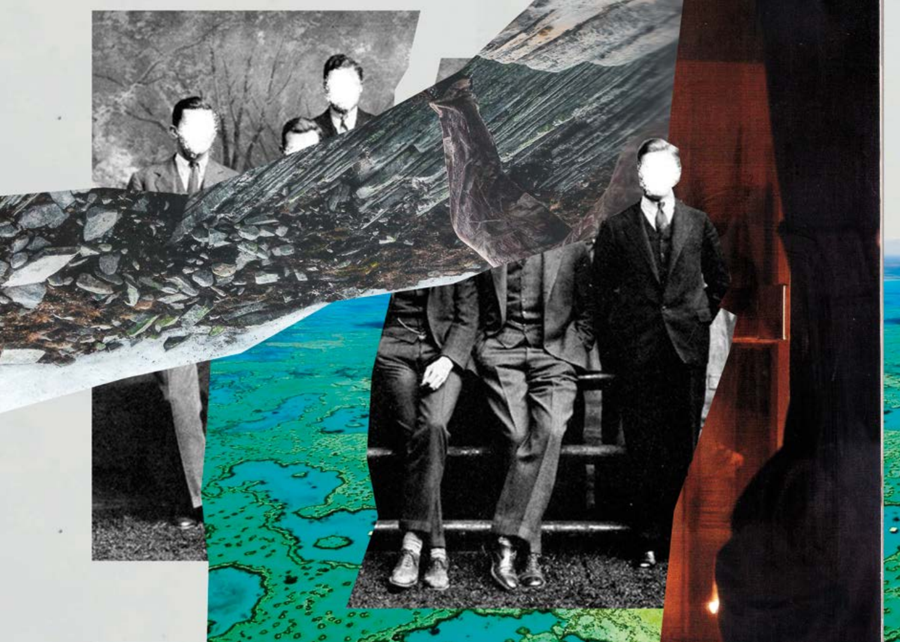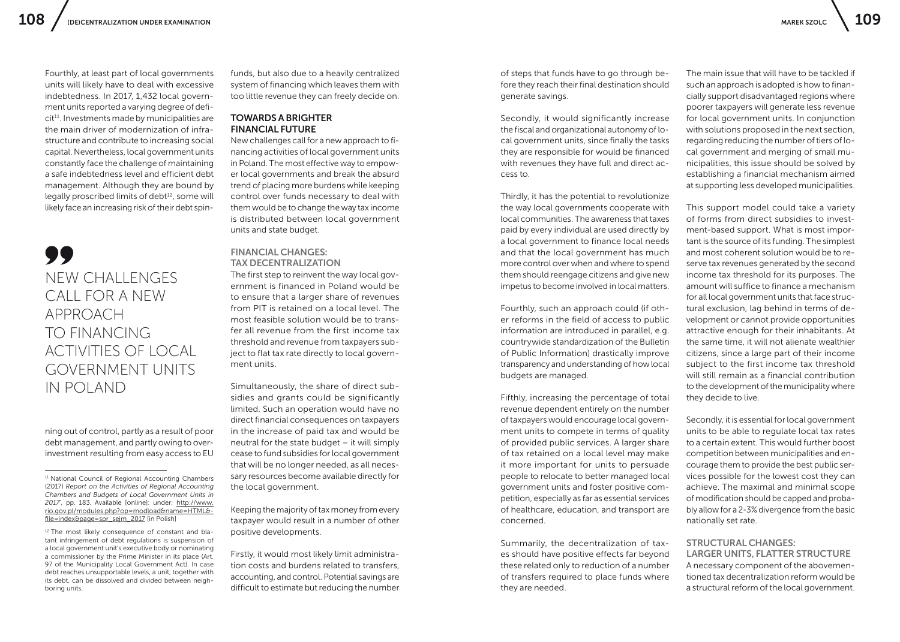Fourthly, at least part of local governments units will likely have to deal with excessive indebtedness. In 2017, 1,432 local government units reported a varying degree of defi $cit<sup>11</sup>$ . Investments made by municipalities are the main driver of modernization of infrastructure and contribute to increasing social capital. Nevertheless, local government units constantly face the challenge of maintaining a safe indebtedness level and efficient debt management. Although they are bound by legally proscribed limits of debt $12$ , some will likely face an increasing risk of their debt spin-

# NEW CHALLENGES CALL FOR A NEW APPROACH TO FINANCING ACTIVITIES OF LOCAL GOVERNMENT UNITS IN POLAND

ning out of control, partly as a result of poor debt management, and partly owing to overinvestment resulting from easy access to EU

<sup>12</sup> The most likely consequence of constant and blatant infringement of debt regulations is suspension of a local government unit's executive body or nominating a commissioner by the Prime Minister in its place (Art. 97 of the Municipality Local Government Act). In case debt reaches unsupportable levels, a unit, together with its debt, can be dissolved and divided between neighboring units.

funds, but also due to a heavily centralized system of financing which leaves them with too little revenue they can freely decide on.

### TOWARDS A BRIGHTER FINANCIAL FUTURE

New challenges call for a new approach to financing activities of local government units in Poland. The most effective way to empower local governments and break the absurd trend of placing more burdens while keeping control over funds necessary to deal with them would be to change the way tax income is distributed between local government units and state budget.

### FINANCIAL CHANGES: TAX DECENTRALIZATION

The first step to reinvent the way local government is financed in Poland would be to ensure that a larger share of revenues from PIT is retained on a local level. The most feasible solution would be to transfer all revenue from the first income tax threshold and revenue from taxpayers subject to flat tax rate directly to local government units.

Simultaneously, the share of direct subsidies and grants could be significantly limited. Such an operation would have no direct financial consequences on taxpayers in the increase of paid tax and would be neutral for the state budget – it will simply cease to fund subsidies for local government that will be no longer needed, as all necessary resources become available directly for the local government.

Keeping the majority of tax money from every taxpayer would result in a number of other positive developments.

Firstly, it would most likely limit administration costs and burdens related to transfers, accounting, and control. Potential savings are difficult to estimate but reducing the number of steps that funds have to go through before they reach their final destination should generate savings.

Secondly, it would significantly increase the fiscal and organizational autonomy of local government units, since finally the tasks they are responsible for would be financed with revenues they have full and direct access to.

Thirdly, it has the potential to revolutionize the way local governments cooperate with local communities. The awareness that taxes paid by every individual are used directly by a local government to finance local needs and that the local government has much more control over when and where to spend them should reengage citizens and give new impetus to become involved in local matters.

Fourthly, such an approach could (if other reforms in the field of access to public information are introduced in parallel, e.g. countrywide standardization of the Bulletin of Public Information) drastically improve transparency and understanding of how local budgets are managed.

Fifthly, increasing the percentage of total revenue dependent entirely on the number of taxpayers would encourage local government units to compete in terms of quality of provided public services. A larger share of tax retained on a local level may make it more important for units to persuade people to relocate to better managed local government units and foster positive competition, especially as far as essential services of healthcare, education, and transport are concerned.

Summarily, the decentralization of taxes should have positive effects far beyond these related only to reduction of a number of transfers required to place funds where they are needed.

The main issue that will have to be tackled if such an approach is adopted is how to financially support disadvantaged regions where poorer taxpayers will generate less revenue for local government units. In conjunction with solutions proposed in the next section, regarding reducing the number of tiers of local government and merging of small municipalities, this issue should be solved by establishing a financial mechanism aimed at supporting less developed municipalities.

This support model could take a variety of forms from direct subsidies to investment-based support. What is most important is the source of its funding. The simplest and most coherent solution would be to reserve tax revenues generated by the second income tax threshold for its purposes. The amount will suffice to finance a mechanism for all local government units that face structural exclusion, lag behind in terms of development or cannot provide opportunities attractive enough for their inhabitants. At the same time, it will not alienate wealthier citizens, since a large part of their income subject to the first income tax threshold will still remain as a financial contribution to the development of the municipality where they decide to live.

Secondly, it is essential for local government units to be able to regulate local tax rates to a certain extent. This would further boost competition between municipalities and encourage them to provide the best public services possible for the lowest cost they can achieve. The maximal and minimal scope of modification should be capped and probably allow for a 2-3% divergence from the basic nationally set rate.

### STRUCTURAL CHANGES: LARGER UNITS, FLATTER STRUCTURE A necessary component of the abovemen-

tioned tax decentralization reform would be a structural reform of the local government.

<sup>&</sup>lt;sup>11</sup> National Council of Regional Accounting Chambers (2017) *Report on the Activities of Regional Accounting Chambers and Budgets of Local Government Units in 2017*', pp. 183. Available [online]: under: [http://www.](http://www.rio.gov.pl/modules.php?op=modload&name=HTML&file=index&page=spr_sejm_2017) [rio.gov.pl/modules.php?op=modload&name=HTML&](http://www.rio.gov.pl/modules.php?op=modload&name=HTML&file=index&page=spr_sejm_2017) [file=index&page=spr\\_sejm\\_2017](http://www.rio.gov.pl/modules.php?op=modload&name=HTML&file=index&page=spr_sejm_2017) [in Polish]